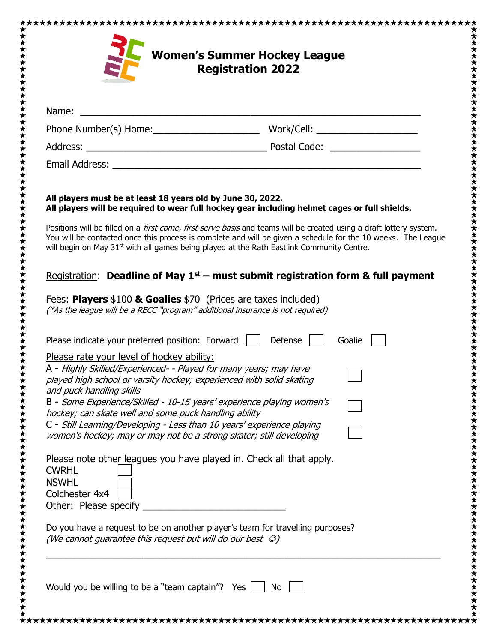| Name:                                                                                                                                                                                                                                                                                       | <u> 1989 - Jan Barat, margaret amerikan basar dan berasal dalam basa dalam basa dalam basa dalam basa dalam basa</u>                                                                                                                                                                                                                                 |
|---------------------------------------------------------------------------------------------------------------------------------------------------------------------------------------------------------------------------------------------------------------------------------------------|------------------------------------------------------------------------------------------------------------------------------------------------------------------------------------------------------------------------------------------------------------------------------------------------------------------------------------------------------|
|                                                                                                                                                                                                                                                                                             |                                                                                                                                                                                                                                                                                                                                                      |
|                                                                                                                                                                                                                                                                                             |                                                                                                                                                                                                                                                                                                                                                      |
|                                                                                                                                                                                                                                                                                             |                                                                                                                                                                                                                                                                                                                                                      |
| All players must be at least 18 years old by June 30, 2022.                                                                                                                                                                                                                                 | All players will be required to wear full hockey gear including helmet cages or full shields.                                                                                                                                                                                                                                                        |
|                                                                                                                                                                                                                                                                                             | Positions will be filled on a <i>first come, first serve basis</i> and teams will be created using a draft lottery system.<br>You will be contacted once this process is complete and will be given a schedule for the 10 weeks. The League<br>will begin on May 31 <sup>st</sup> with all games being played at the Rath Eastlink Community Centre. |
|                                                                                                                                                                                                                                                                                             | Registration: Deadline of May $1st$ – must submit registration form & full payment                                                                                                                                                                                                                                                                   |
| Fees: Players \$100 & Goalies \$70 (Prices are taxes included)<br>(*As the league will be a RECC "program" additional insurance is not required)                                                                                                                                            |                                                                                                                                                                                                                                                                                                                                                      |
| Please indicate your preferred position: Forward                                                                                                                                                                                                                                            | Defense<br>Goalie                                                                                                                                                                                                                                                                                                                                    |
| Please rate your level of hockey ability:<br>A - Highly Skilled/Experienced- - Played for many years; may have<br>played high school or varsity hockey; experienced with solid skating<br>and puck handling skills<br>B - Some Experience/Skilled - 10-15 years' experience playing women's |                                                                                                                                                                                                                                                                                                                                                      |
| hockey; can skate well and some puck handling ability<br>C - Still Learning/Developing - Less than 10 years' experience playing                                                                                                                                                             |                                                                                                                                                                                                                                                                                                                                                      |
| women's hockey; may or may not be a strong skater; still developing                                                                                                                                                                                                                         |                                                                                                                                                                                                                                                                                                                                                      |
| Please note other leagues you have played in. Check all that apply.<br><b>CWRHL</b><br><b>NSWHL</b><br>Colchester 4x4<br>Other: Please specify                                                                                                                                              |                                                                                                                                                                                                                                                                                                                                                      |
| Do you have a request to be on another player's team for travelling purposes?<br>(We cannot guarantee this request but will do our best $\odot$ )                                                                                                                                           |                                                                                                                                                                                                                                                                                                                                                      |